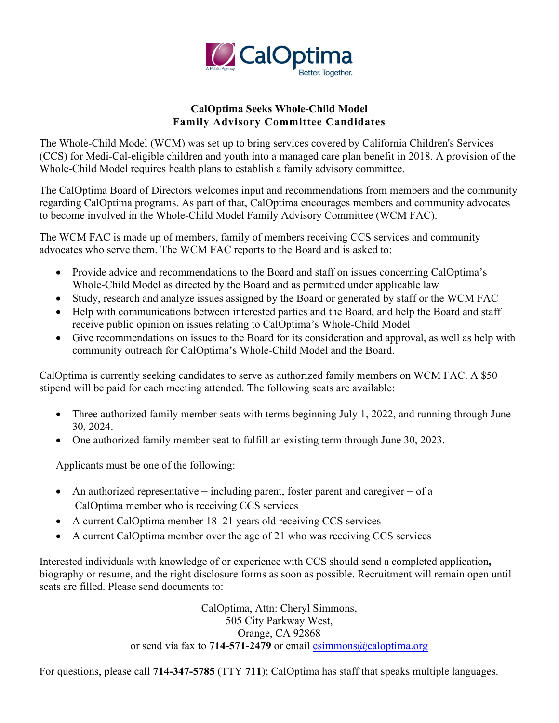

# **CalOptima Seeks Whole-Child Model Family Advisory Committee Candidates**

The Whole-Child Model (WCM) was set up to bring services covered by California Children's Services (CCS) for Medi-Cal-eligible children and youth into a managed care plan benefit in 2018. A provision of the Whole-Child Model requires health plans to establish a family advisory committee.

The CalOptima Board of Directors welcomes input and recommendations from members and the community regarding CalOptima programs. As part of that, CalOptima encourages members and community advocates to become involved in the Whole-Child Model Family Advisory Committee (WCM FAC).

The WCM FAC is made up of members, family of members receiving CCS services and community advocates who serve them. The WCM FAC reports to the Board and is asked to:

- Provide advice and recommendations to the Board and staff on issues concerning CalOptima's Whole-Child Model as directed by the Board and as permitted under applicable law
- Study, research and analyze issues assigned by the Board or generated by staff or the WCM FAC
- Help with communications between interested parties and the Board, and help the Board and staff receive public opinion on issues relating to CalOptima's Whole-Child Model
- Give recommendations on issues to the Board for its consideration and approval, as well as help with community outreach for CalOptima's Whole-Child Model and the Board.

CalOptima is currently seeking candidates to serve as authorized family members on WCM FAC. A \$50 stipend will be paid for each meeting attended. The following seats are available:

- Three authorized family member seats with terms beginning July 1, 2022, and running through June 30, 2024.
- One authorized family member seat to fulfill an existing term through June 30, 2023.

Applicants must be one of the following:

- An authorized representative including parent, foster parent and caregiver of a CalOptima member who is receiving CCS services
- A current CalOptima member 18–21 years old receiving CCS services
- A current CalOptima member over the age of 21 who was receiving CCS services

Interested individuals with knowledge of or experience with CCS should send a completed application**,** biography or resume, and the right disclosure forms as soon as possible. Recruitment will remain open until seats are filled. Please send documents to:

> CalOptima, Attn: Cheryl Simmons, 505 City Parkway West, Orange, CA 92868 or send via fax to **714-571-2479** or email csimmons (a) caloptima.org

For questions, please call **714-347-5785** (TTY **711**); CalOptima has staff that speaks multiple languages.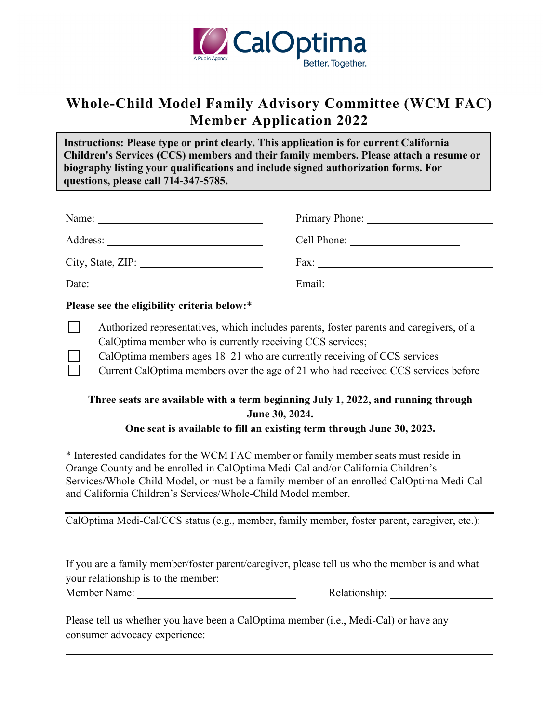

# **Whole-Child Model Family Advisory Committee (WCM FAC) Member Application 2022**

**Instructions: Please type or print clearly. This application is for current California Children's Services (CCS) members and their family members. Please attach a resume or biography listing your qualifications and include signed authorization forms. For questions, please call 714-347-5785.** 

| Name:    | Primary Phone:                                                 |
|----------|----------------------------------------------------------------|
| Address: | Cell Phone:<br><u> 1980 - Jan Samuel Barbara, politik a po</u> |
|          | $\Gamma$ Fax:                                                  |
| Date:    | Email:                                                         |

#### **Please see the eligibility criteria below:**\*

- Authorized representatives, which includes parents, foster parents and caregivers, of a CalOptima member who is currently receiving CCS services;
	- CalOptima members ages 18–21 who are currently receiving of CCS services
	- Current CalOptima members over the age of 21 who had received CCS services before

# **Three seats are available with a term beginning July 1, 2022, and running through June 30, 2024.**

#### **One seat is available to fill an existing term through June 30, 2023.**

\* Interested candidates for the WCM FAC member or family member seats must reside in Orange County and be enrolled in CalOptima Medi-Cal and/or California Children's Services/Whole-Child Model, or must be a family member of an enrolled CalOptima Medi-Cal and California Children's Services/Whole-Child Model member.

CalOptima Medi-Cal/CCS status (e.g., member, family member, foster parent, caregiver, etc.):

If you are a family member/foster parent/caregiver, please tell us who the member is and what your relationship is to the member:

| Member Name: |  |
|--------------|--|
|              |  |

 $\overline{a}$ 

 $\overline{a}$ 

Relationship:

Please tell us whether you have been a CalOptima member (i.e., Medi-Cal) or have any consumer advocacy experience: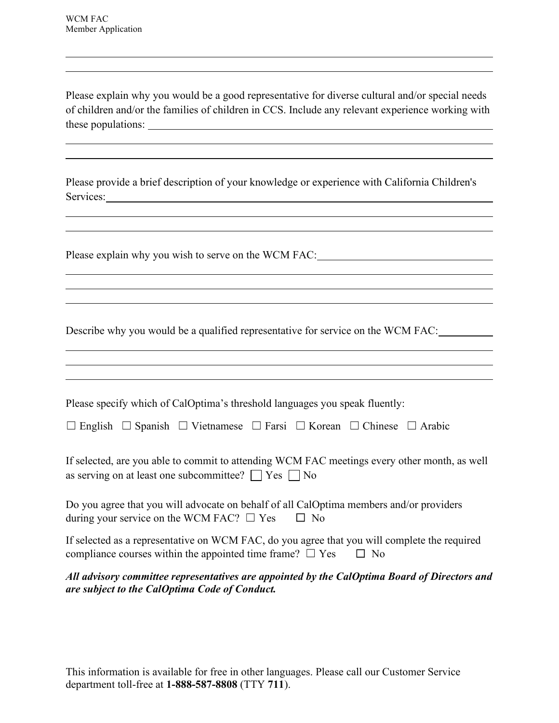Please explain why you would be a good representative for diverse cultural and/or special needs of children and/or the families of children in CCS. Include any relevant experience working with these populations:

Please provide a brief description of your knowledge or experience with California Children's Services: 2008. Environment and the services:

<u> 1989 - Johann Stoff, amerikansk politiker (d. 1989)</u>

<u> 1989 - Johann Stoff, amerikansk politiker (d. 1989)</u>

Please explain why you wish to serve on the WCM FAC: \_\_\_\_\_\_\_\_\_\_\_\_\_\_\_\_\_\_\_\_\_\_\_\_\_\_\_

Describe why you would be a qualified representative for service on the WCM FAC:

| Please specify which of CalOptima's threshold languages you speak fluently: |  |  |
|-----------------------------------------------------------------------------|--|--|
|                                                                             |  |  |

|  | $\Box$ English $\Box$ Spanish $\Box$ Vietnamese $\Box$ Farsi $\Box$ Korean $\Box$ Chinese $\Box$ Arabic |  |  |
|--|---------------------------------------------------------------------------------------------------------|--|--|
|  |                                                                                                         |  |  |

If selected, are you able to commit to attending WCM FAC meetings every other month, as well as serving on at least one subcommittee?  $\Box$  Yes  $\Box$  No

Do you agree that you will advocate on behalf of all CalOptima members and/or providers during your service on the WCM FAC?  $\Box$  Yes  $\Box$  No

If selected as a representative on WCM FAC, do you agree that you will complete the required compliance courses within the appointed time frame?  $\Box$  Yes  $\Box$  No

#### *All advisory committee representatives are appointed by the CalOptima Board of Directors and are subject to the CalOptima Code of Conduct.*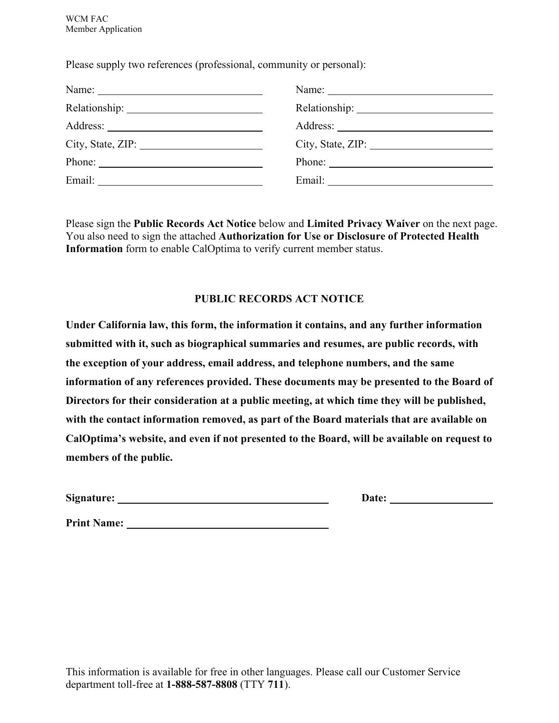Please supply two references (professional, community or personal):

| Name:                                                                                                                                                                                                                                                                                                                                                                                                        |  |
|--------------------------------------------------------------------------------------------------------------------------------------------------------------------------------------------------------------------------------------------------------------------------------------------------------------------------------------------------------------------------------------------------------------|--|
|                                                                                                                                                                                                                                                                                                                                                                                                              |  |
|                                                                                                                                                                                                                                                                                                                                                                                                              |  |
| City, State, ZIP:                                                                                                                                                                                                                                                                                                                                                                                            |  |
| Phone: $\frac{1}{\sqrt{1-\frac{1}{2}}\sqrt{1-\frac{1}{2}}\sqrt{1-\frac{1}{2}}\sqrt{1-\frac{1}{2}}\sqrt{1-\frac{1}{2}}\sqrt{1-\frac{1}{2}}\sqrt{1-\frac{1}{2}}\sqrt{1-\frac{1}{2}}\sqrt{1-\frac{1}{2}}\sqrt{1-\frac{1}{2}}\sqrt{1-\frac{1}{2}}\sqrt{1-\frac{1}{2}}\sqrt{1-\frac{1}{2}}\sqrt{1-\frac{1}{2}}\sqrt{1-\frac{1}{2}}\sqrt{1-\frac{1}{2}}\sqrt{1-\frac{1}{2}}\sqrt{1-\frac{1}{2}}\sqrt{1-\frac{1}{2$ |  |
|                                                                                                                                                                                                                                                                                                                                                                                                              |  |

Please sign the **Public Records Act Notice** below and **Limited Privacy Waiver** on the next page. You also need to sign the attached **Authorization for Use or Disclosure of Protected Health Information** form to enable CalOptima to verify current member status.

#### **PUBLIC RECORDS ACT NOTICE**

**Under California law, this form, the information it contains, and any further information submitted with it, such as biographical summaries and resumes, are public records, with the exception of your address, email address, and telephone numbers, and the same information of any references provided. These documents may be presented to the Board of Directors for their consideration at a public meeting, at which time they will be published, with the contact information removed, as part of the Board materials that are available on CalOptima's website, and even if not presented to the Board, will be available on request to members of the public.**

| Signature: | Date: |
|------------|-------|
|            |       |

Print Name: <u>Quantile Communications</u>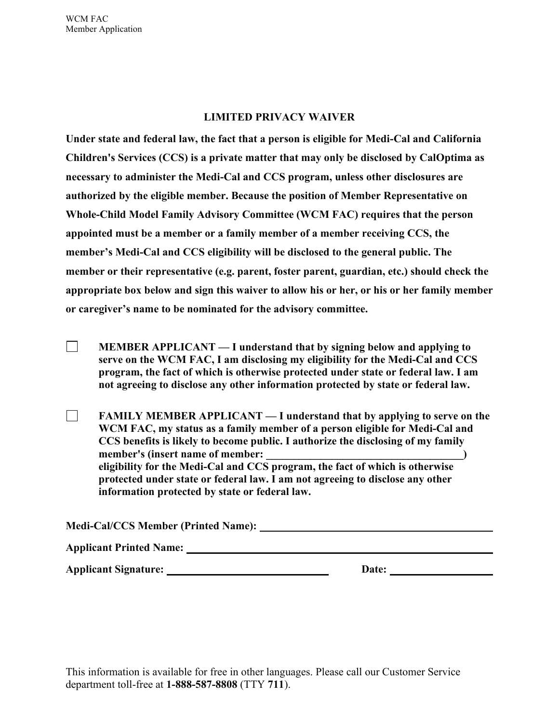#### **LIMITED PRIVACY WAIVER**

**Under state and federal law, the fact that a person is eligible for Medi-Cal and California Children's Services (CCS) is a private matter that may only be disclosed by CalOptima as necessary to administer the Medi-Cal and CCS program, unless other disclosures are authorized by the eligible member. Because the position of Member Representative on Whole-Child Model Family Advisory Committee (WCM FAC) requires that the person appointed must be a member or a family member of a member receiving CCS, the member's Medi-Cal and CCS eligibility will be disclosed to the general public. The member or their representative (e.g. parent, foster parent, guardian, etc.) should check the appropriate box below and sign this waiver to allow his or her, or his or her family member or caregiver's name to be nominated for the advisory committee.**

 $\Box$ **MEMBER APPLICANT — I understand that by signing below and applying to serve on the WCM FAC, I am disclosing my eligibility for the Medi-Cal and CCS program, the fact of which is otherwise protected under state or federal law. I am not agreeing to disclose any other information protected by state or federal law.**

**FAMILY MEMBER APPLICANT — I understand that by applying to serve on the**  $\Box$ **WCM FAC, my status as a family member of a person eligible for Medi-Cal and CCS benefits is likely to become public. I authorize the disclosing of my family member's** (insert name of member:  $\qquad \qquad$ **eligibility for the Medi-Cal and CCS program, the fact of which is otherwise protected under state or federal law. I am not agreeing to disclose any other information protected by state or federal law.**

| <b>Medi-Cal/CCS Member (Printed Name):</b> |  |
|--------------------------------------------|--|
| <b>Applicant Printed Name:</b>             |  |

**Applicant Signature: Date: Date: Date:**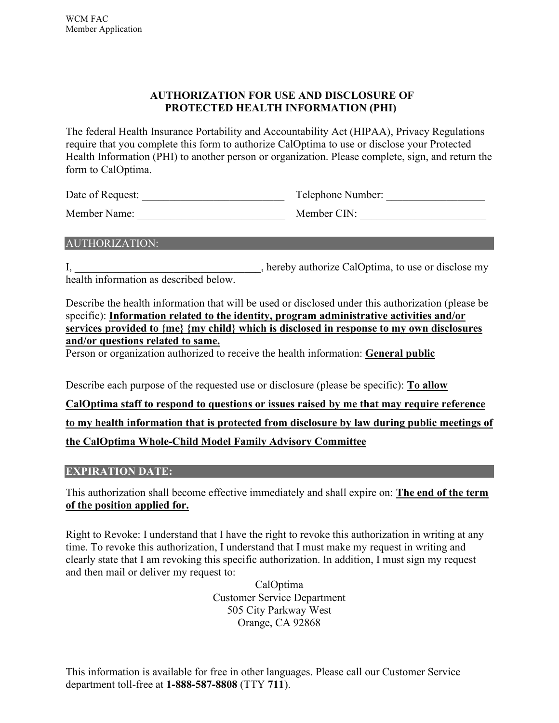# **AUTHORIZATION FOR USE AND DISCLOSURE OF PROTECTED HEALTH INFORMATION (PHI)**

The federal Health Insurance Portability and Accountability Act (HIPAA), Privacy Regulations require that you complete this form to authorize CalOptima to use or disclose your Protected Health Information (PHI) to another person or organization. Please complete, sign, and return the form to CalOptima.

| Date of Request: | Telephone Number: |  |
|------------------|-------------------|--|
| Member Name:     | Member CIN:       |  |

#### AUTHORIZATION:

I, hereby authorize CalOptima, to use or disclose my health information as described below.

Describe the health information that will be used or disclosed under this authorization (please be specific): **Information related to the identity, program administrative activities and/or services provided to {me} {my child} which is disclosed in response to my own disclosures and/or questions related to same.**

Person or organization authorized to receive the health information: **General public** 

Describe each purpose of the requested use or disclosure (please be specific): **To allow CalOptima staff to respond to questions or issues raised by me that may require reference to my health information that is protected from disclosure by law during public meetings of the CalOptima Whole-Child Model Family Advisory Committee**

# **EXPIRATION DATE:**

This authorization shall become effective immediately and shall expire on: **The end of the term of the position applied for.**

Right to Revoke: I understand that I have the right to revoke this authorization in writing at any time. To revoke this authorization, I understand that I must make my request in writing and clearly state that I am revoking this specific authorization. In addition, I must sign my request and then mail or deliver my request to:

> CalOptima Customer Service Department 505 City Parkway West Orange, CA 92868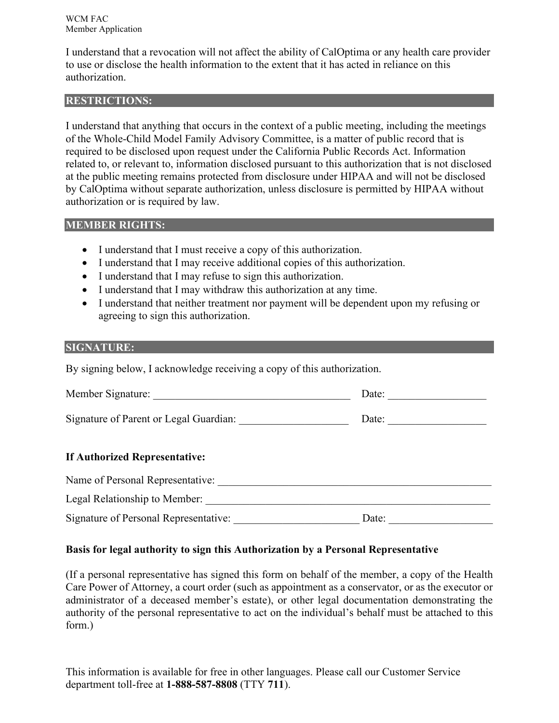I understand that a revocation will not affect the ability of CalOptima or any health care provider to use or disclose the health information to the extent that it has acted in reliance on this authorization.

# **RESTRICTIONS:**

I understand that anything that occurs in the context of a public meeting, including the meetings of the Whole-Child Model Family Advisory Committee, is a matter of public record that is required to be disclosed upon request under the California Public Records Act. Information related to, or relevant to, information disclosed pursuant to this authorization that is not disclosed at the public meeting remains protected from disclosure under HIPAA and will not be disclosed by CalOptima without separate authorization, unless disclosure is permitted by HIPAA without authorization or is required by law.

# **MEMBER RIGHTS:**

- I understand that I must receive a copy of this authorization.
- I understand that I may receive additional copies of this authorization.
- I understand that I may refuse to sign this authorization.
- I understand that I may withdraw this authorization at any time.
- I understand that neither treatment nor payment will be dependent upon my refusing or agreeing to sign this authorization.

#### **SIGNATURE:**

By signing below, I acknowledge receiving a copy of this authorization.

| Member Signature: | Jate: |  |  |
|-------------------|-------|--|--|
|                   |       |  |  |

Signature of Parent or Legal Guardian: Date: Date:

# **If Authorized Representative:**

| Name of Personal Representative:      |       |
|---------------------------------------|-------|
| Legal Relationship to Member:         |       |
| Signature of Personal Representative: | Date: |

# **Basis for legal authority to sign this Authorization by a Personal Representative**

(If a personal representative has signed this form on behalf of the member, a copy of the Health Care Power of Attorney, a court order (such as appointment as a conservator, or as the executor or administrator of a deceased member's estate), or other legal documentation demonstrating the authority of the personal representative to act on the individual's behalf must be attached to this form.)